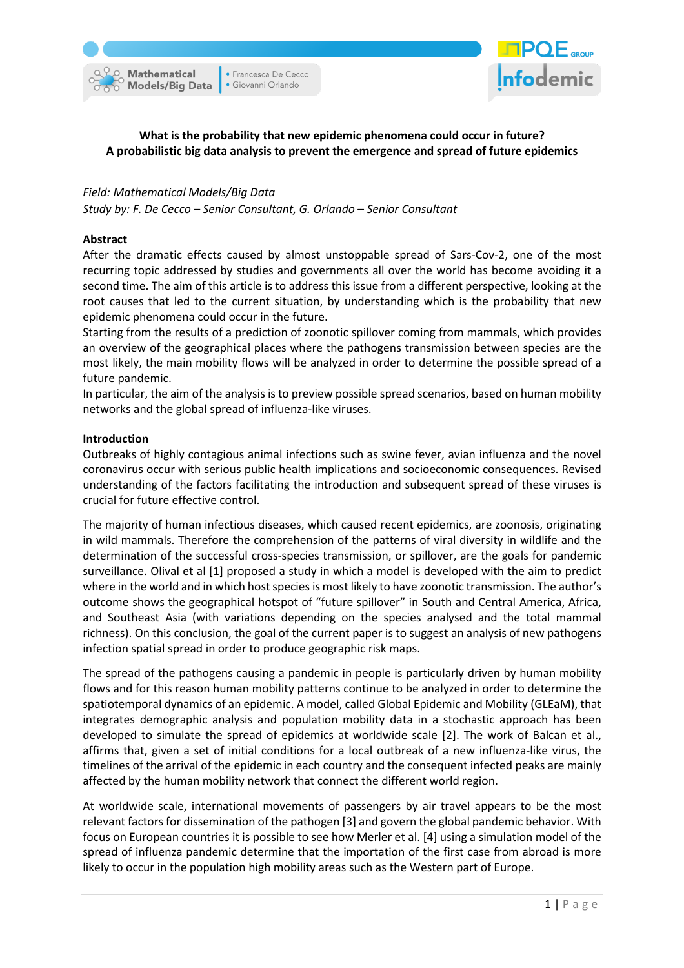**O** Mathematical **Models/Big Data** 

• Francesca De Cecco · Giovanni Orlando



# **What is the probability that new epidemic phenomena could occur in future? A probabilistic big data analysis to prevent the emergence and spread of future epidemics**

#### *Field: Mathematical Models/Big Data*

*Study by: F. De Cecco – Senior Consultant, G. Orlando – Senior Consultant*

### **Abstract**

After the dramatic effects caused by almost unstoppable spread of Sars-Cov-2, one of the most recurring topic addressed by studies and governments all over the world has become avoiding it a second time. The aim of this article is to address this issue from a different perspective, looking at the root causes that led to the current situation, by understanding which is the probability that new epidemic phenomena could occur in the future.

Starting from the results of a prediction of zoonotic spillover coming from mammals, which provides an overview of the geographical places where the pathogens transmission between species are the most likely, the main mobility flows will be analyzed in order to determine the possible spread of a future pandemic.

In particular, the aim of the analysis is to preview possible spread scenarios, based on human mobility networks and the global spread of influenza-like viruses.

#### **Introduction**

Outbreaks of highly contagious animal infections such as swine fever, avian influenza and the novel coronavirus occur with serious public health implications and socioeconomic consequences. Revised understanding of the factors facilitating the introduction and subsequent spread of these viruses is crucial for future effective control.

The majority of human infectious diseases, which caused recent epidemics, are zoonosis, originating in wild mammals. Therefore the comprehension of the patterns of viral diversity in wildlife and the determination of the successful cross-species transmission, or spillover, are the goals for pandemic surveillance. Olival et al [1] proposed a study in which a model is developed with the aim to predict where in the world and in which host species is most likely to have zoonotic transmission. The author's outcome shows the geographical hotspot of "future spillover" in South and Central America, Africa, and Southeast Asia (with variations depending on the species analysed and the total mammal richness). On this conclusion, the goal of the current paper is to suggest an analysis of new pathogens infection spatial spread in order to produce geographic risk maps.

The spread of the pathogens causing a pandemic in people is particularly driven by human mobility flows and for this reason human mobility patterns continue to be analyzed in order to determine the spatiotemporal dynamics of an epidemic. A model, called Global Epidemic and Mobility (GLEaM), that integrates demographic analysis and population mobility data in a stochastic approach has been developed to simulate the spread of epidemics at worldwide scale [2]. The work of Balcan et al., affirms that, given a set of initial conditions for a local outbreak of a new influenza-like virus, the timelines of the arrival of the epidemic in each country and the consequent infected peaks are mainly affected by the human mobility network that connect the different world region.

At worldwide scale, international movements of passengers by air travel appears to be the most relevant factors for dissemination of the pathogen [3] and govern the global pandemic behavior. With focus on European countries it is possible to see how Merler et al. [4] using a simulation model of the spread of influenza pandemic determine that the importation of the first case from abroad is more likely to occur in the population high mobility areas such as the Western part of Europe.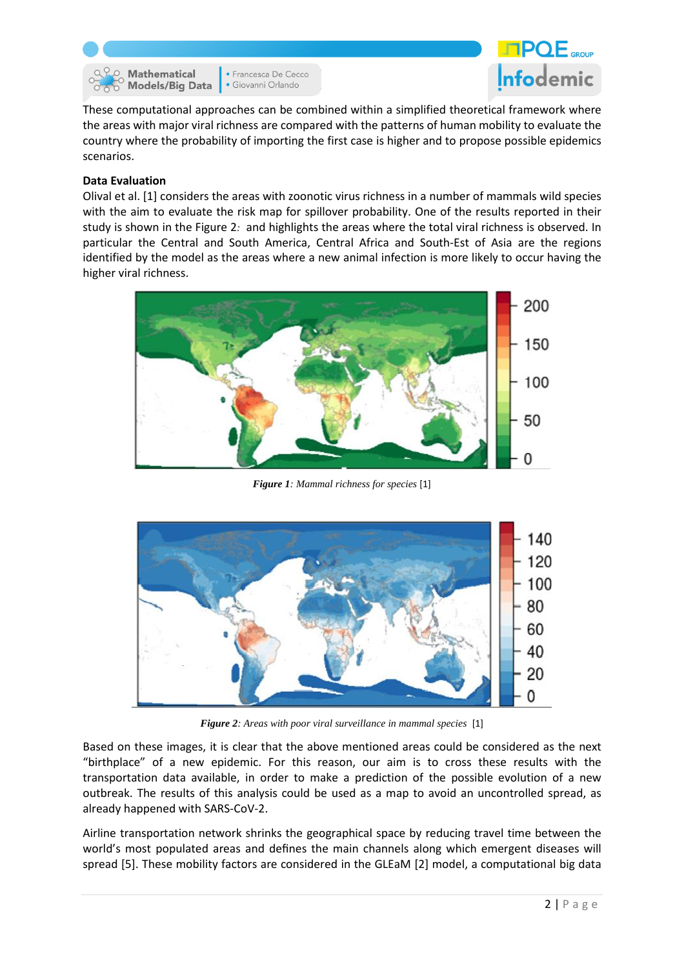**O** Mathematical **Models/Big Data**  • Francesca De Cecco · Giovanni Orlando



These computational approaches can be combined within a simplified theoretical framework where the areas with major viral richness are compared with the patterns of human mobility to evaluate the country where the probability of importing the first case is higher and to propose possible epidemics scenarios.

### **Data Evaluation**

Olival et al. [\[1\]](#page-5-0) considers the areas with zoonotic virus richness in a number of mammals wild species with the aim to evaluate the risk map for spillover probability. One of the results reported in their study is shown in the [Figure](#page-1-0) 2*:* and highlights the areas where the total viral richness is observed. In particular the Central and South America, Central Africa and South-Est of Asia are the regions identified by the model as the areas where a new animal infection is more likely to occur having the higher viral richness.



*Figure 1: Mammal richness for species* [1]



*Figure 2: Areas with poor viral surveillance in mammal species* [1]

<span id="page-1-0"></span>Based on these images, it is clear that the above mentioned areas could be considered as the next "birthplace" of a new epidemic. For this reason, our aim is to cross these results with the transportation data available, in order to make a prediction of the possible evolution of a new outbreak. The results of this analysis could be used as a map to avoid an uncontrolled spread, as already happened with SARS-CoV-2.

Airline transportation network shrinks the geographical space by reducing travel time between the world's most populated areas and defines the main channels along which emergent diseases will spread [\[5\]](#page-5-1). These mobility factors are considered in the GLEaM [\[2\]](#page-5-2) model, a computational big data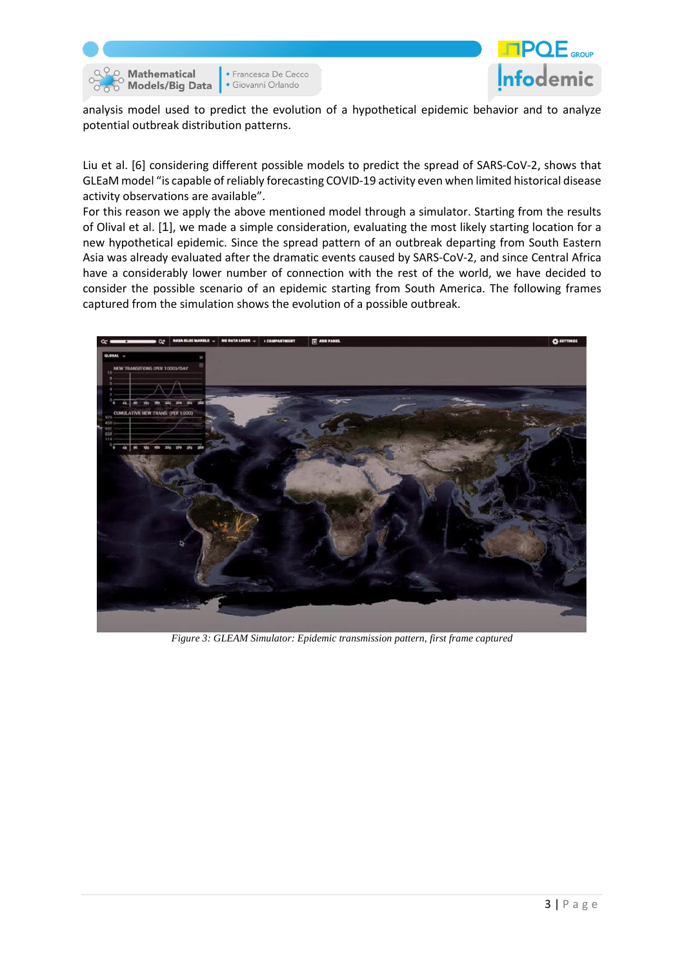



analysis model used to predict the evolution of a hypothetical epidemic behavior and to analyze potential outbreak distribution patterns.

Liu et al. [\[6\]](#page-5-3) considering different possible models to predict the spread of SARS-CoV-2, shows that GLEaM model "is capable of reliably forecasting COVID-19 activity even when limited historical disease activity observations are available".

For this reason we apply the above mentioned model through a simulator. Starting from the results of Olival et al. [[1](#page-5-0)], we made a simple consideration, evaluating the most likely starting location for a new hypothetical epidemic. Since the spread pattern of an outbreak departing from South Eastern Asia was already evaluated after the dramatic events caused by SARS-CoV-2, and since Central Africa have a considerably lower number of connection with the rest of the world, we have decided to consider the possible scenario of an epidemic starting from South America. The following frames captured from the simulation shows the evolution of a possible outbreak.



*Figure 3: GLEAM Simulator: Epidemic transmission pattern, first frame captured*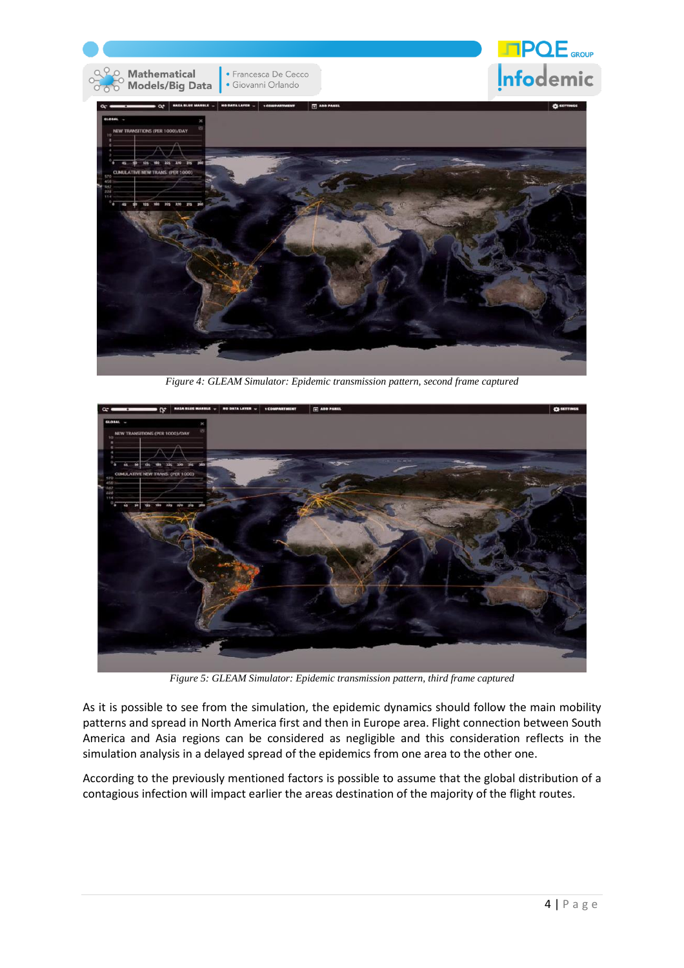

*Figure 4: GLEAM Simulator: Epidemic transmission pattern, second frame captured*



*Figure 5: GLEAM Simulator: Epidemic transmission pattern, third frame captured*

As it is possible to see from the simulation, the epidemic dynamics should follow the main mobility patterns and spread in North America first and then in Europe area. Flight connection between South America and Asia regions can be considered as negligible and this consideration reflects in the simulation analysis in a delayed spread of the epidemics from one area to the other one.

According to the previously mentioned factors is possible to assume that the global distribution of a contagious infection will impact earlier the areas destination of the majority of the flight routes.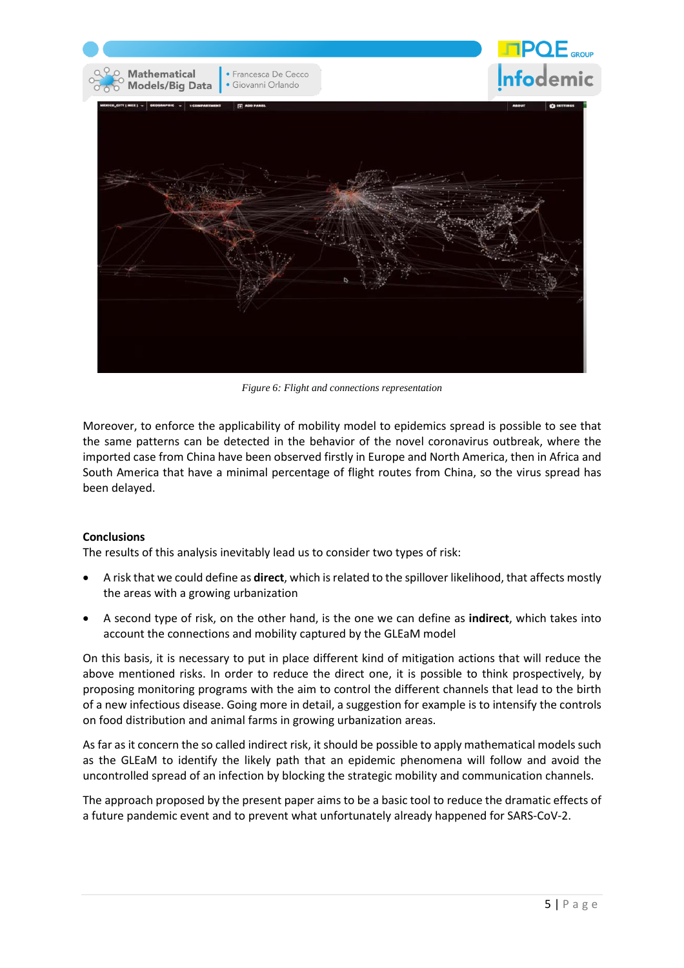

*Figure 6: Flight and connections representation*

Moreover, to enforce the applicability of mobility model to epidemics spread is possible to see that the same patterns can be detected in the behavior of the novel coronavirus outbreak, where the imported case from China have been observed firstly in Europe and North America, then in Africa and South America that have a minimal percentage of flight routes from China, so the virus spread has been delayed.

# **Conclusions**

The results of this analysis inevitably lead us to consider two types of risk:

- A risk that we could define as **direct**, which isrelated to the spillover likelihood, that affects mostly the areas with a growing urbanization
- A second type of risk, on the other hand, is the one we can define as **indirect**, which takes into account the connections and mobility captured by the GLEaM model

On this basis, it is necessary to put in place different kind of mitigation actions that will reduce the above mentioned risks. In order to reduce the direct one, it is possible to think prospectively, by proposing monitoring programs with the aim to control the different channels that lead to the birth of a new infectious disease. Going more in detail, a suggestion for example is to intensify the controls on food distribution and animal farms in growing urbanization areas.

As far as it concern the so called indirect risk, it should be possible to apply mathematical models such as the GLEaM to identify the likely path that an epidemic phenomena will follow and avoid the uncontrolled spread of an infection by blocking the strategic mobility and communication channels.

The approach proposed by the present paper aims to be a basic tool to reduce the dramatic effects of a future pandemic event and to prevent what unfortunately already happened for SARS-CoV-2.